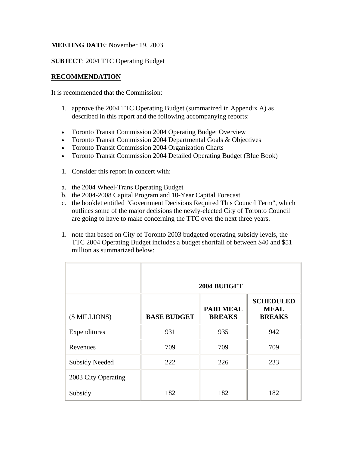## **MEETING DATE**: November 19, 2003

### **SUBJECT**: 2004 TTC Operating Budget

## **RECOMMENDATION**

It is recommended that the Commission:

- 1. approve the 2004 TTC Operating Budget (summarized in Appendix A) as described in this report and the following accompanying reports:
- Toronto Transit Commission 2004 Operating Budget Overview
- Toronto Transit Commission 2004 Departmental Goals & Objectives
- Toronto Transit Commission 2004 Organization Charts
- Toronto Transit Commission 2004 Detailed Operating Budget (Blue Book)
- 1. Consider this report in concert with:
- a. the 2004 Wheel-Trans Operating Budget
- b. the 2004-2008 Capital Program and 10-Year Capital Forecast
- c. the booklet entitled "Government Decisions Required This Council Term", which outlines some of the major decisions the newly-elected City of Toronto Council are going to have to make concerning the TTC over the next three years.
- 1. note that based on City of Toronto 2003 budgeted operating subsidy levels, the TTC 2004 Operating Budget includes a budget shortfall of between \$40 and \$51 million as summarized below:

|                       | 2004 BUDGET        |                                   |                                                  |  |
|-----------------------|--------------------|-----------------------------------|--------------------------------------------------|--|
| (\$ MILLIONS)         | <b>BASE BUDGET</b> | <b>PAID MEAL</b><br><b>BREAKS</b> | <b>SCHEDULED</b><br><b>MEAL</b><br><b>BREAKS</b> |  |
| Expenditures          | 931                | 935                               | 942                                              |  |
| Revenues              | 709                | 709                               | 709                                              |  |
| <b>Subsidy Needed</b> | 222                | 226                               | 233                                              |  |
| 2003 City Operating   |                    |                                   |                                                  |  |
| Subsidy               | 182                | 182                               | 182                                              |  |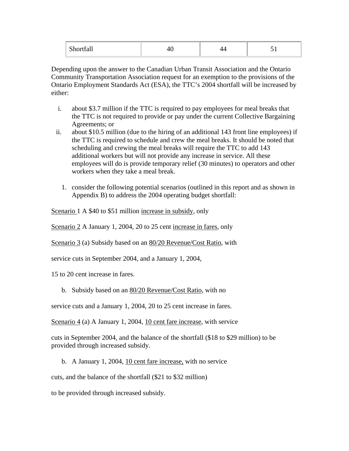| --<br>--<br>uuu<br>$\sim$ |  |  |  |
|---------------------------|--|--|--|
|---------------------------|--|--|--|

Depending upon the answer to the Canadian Urban Transit Association and the Ontario Community Transportation Association request for an exemption to the provisions of the Ontario Employment Standards Act (ESA), the TTC's 2004 shortfall will be increased by either:

- i. about \$3.7 million if the TTC is required to pay employees for meal breaks that the TTC is not required to provide or pay under the current Collective Bargaining Agreements; or
- ii. about \$10.5 million (due to the hiring of an additional 143 front line employees) if the TTC is required to schedule and crew the meal breaks. It should be noted that scheduling and crewing the meal breaks will require the TTC to add 143 additional workers but will not provide any increase in service. All these employees will do is provide temporary relief (30 minutes) to operators and other workers when they take a meal break.
	- 1. consider the following potential scenarios (outlined in this report and as shown in Appendix B) to address the 2004 operating budget shortfall:

Scenario 1 A \$40 to \$51 million increase in subsidy, only

Scenario 2 A January 1, 2004, 20 to 25 cent increase in fares, only

Scenario 3 (a) Subsidy based on an 80/20 Revenue/Cost Ratio, with

service cuts in September 2004, and a January 1, 2004,

15 to 20 cent increase in fares.

b. Subsidy based on an <u>80/20 Revenue/Cost Ratio</u>, with no

service cuts and a January 1, 2004, 20 to 25 cent increase in fares.

Scenario 4 (a) A January 1, 2004, 10 cent fare increase, with service

cuts in September 2004, and the balance of the shortfall (\$18 to \$29 million) to be provided through increased subsidy.

b. A January 1, 2004, 10 cent fare increase, with no service

cuts, and the balance of the shortfall (\$21 to \$32 million)

to be provided through increased subsidy.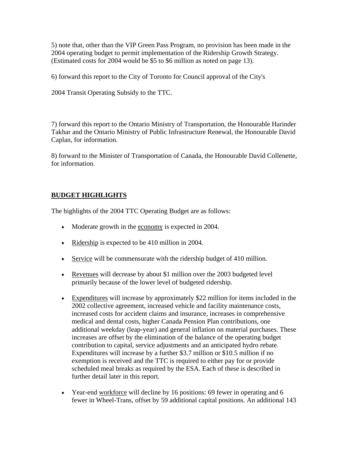5) note that, other than the VIP Green Pass Program, no provision has been made in the 2004 operating budget to permit implementation of the Ridership Growth Strategy. (Estimated costs for 2004 would be \$5 to \$6 million as noted on page 13).

6) forward this report to the City of Toronto for Council approval of the City's

2004 Transit Operating Subsidy to the TTC.

7) forward this report to the Ontario Ministry of Transportation, the Honourable Harinder Takhar and the Ontario Ministry of Public Infrastructure Renewal, the Honourable David Caplan, for information.

8) forward to the Minister of Transportation of Canada, the Honourable David Collenette, for information.

#### **BUDGET HIGHLIGHTS**

The highlights of the 2004 TTC Operating Budget are as follows:

- Moderate growth in the economy is expected in 2004.
- Ridership is expected to be 410 million in 2004.
- Service will be commensurate with the ridership budget of 410 million.
- Revenues will decrease by about \$1 million over the 2003 budgeted level primarily because of the lower level of budgeted ridership.
- Expenditures will increase by approximately \$22 million for items included in the 2002 collective agreement, increased vehicle and facility maintenance costs, increased costs for accident claims and insurance, increases in comprehensive medical and dental costs, higher Canada Pension Plan contributions, one additional weekday (leap-year) and general inflation on material purchases. These increases are offset by the elimination of the balance of the operating budget contribution to capital, service adjustments and an anticipated hydro rebate. Expenditures will increase by a further \$3.7 million or \$10.5 million if no exemption is received and the TTC is required to either pay for or provide scheduled meal breaks as required by the ESA. Each of these is described in further detail later in this report.
- Year-end workforce will decline by 16 positions: 69 fewer in operating and 6 fewer in Wheel-Trans, offset by 59 additional capital positions. An additional 143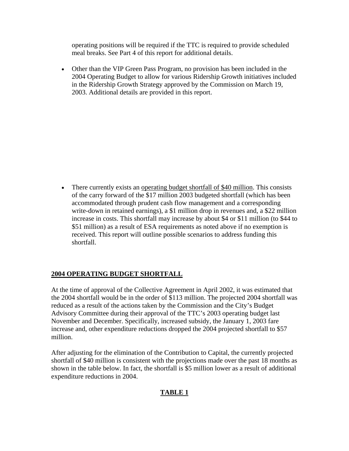operating positions will be required if the TTC is required to provide scheduled meal breaks. See Part 4 of this report for additional details.

• Other than the VIP Green Pass Program, no provision has been included in the 2004 Operating Budget to allow for various Ridership Growth initiatives included in the Ridership Growth Strategy approved by the Commission on March 19, 2003. Additional details are provided in this report.

• There currently exists an operating budget shortfall of \$40 million. This consists of the carry forward of the \$17 million 2003 budgeted shortfall (which has been accommodated through prudent cash flow management and a corresponding write-down in retained earnings), a \$1 million drop in revenues and, a \$22 million increase in costs. This shortfall may increase by about \$4 or \$11 million (to \$44 to \$51 million) as a result of ESA requirements as noted above if no exemption is received. This report will outline possible scenarios to address funding this shortfall.

## **2004 OPERATING BUDGET SHORTFALL**

At the time of approval of the Collective Agreement in April 2002, it was estimated that the 2004 shortfall would be in the order of \$113 million. The projected 2004 shortfall was reduced as a result of the actions taken by the Commission and the City's Budget Advisory Committee during their approval of the TTC's 2003 operating budget last November and December. Specifically, increased subsidy, the January 1, 2003 fare increase and, other expenditure reductions dropped the 2004 projected shortfall to \$57 million.

After adjusting for the elimination of the Contribution to Capital, the currently projected shortfall of \$40 million is consistent with the projections made over the past 18 months as shown in the table below. In fact, the shortfall is \$5 million lower as a result of additional expenditure reductions in 2004.

## **TABLE 1**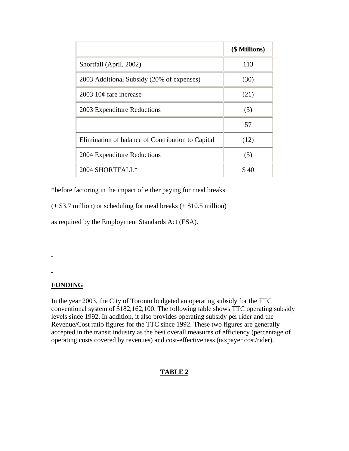|                                                   | (\$ Millions) |
|---------------------------------------------------|---------------|
| Shortfall (April, 2002)                           | 113           |
| 2003 Additional Subsidy (20% of expenses)         | (30)          |
| 2003 $10¢$ fare increase                          | (21)          |
| 2003 Expenditure Reductions                       | (5)           |
|                                                   | 57            |
| Elimination of balance of Contribution to Capital | (12)          |
| 2004 Expenditure Reductions                       | (5)           |
| 2004 SHORTFALL*                                   | \$40          |

\*before factoring in the impact of either paying for meal breaks

 $(+ $3.7$  million) or scheduling for meal breaks  $(+ $10.5$  million)

as required by the Employment Standards Act (ESA).

## **FUNDING**

ä,

In the year 2003, the City of Toronto budgeted an operating subsidy for the TTC conventional system of \$182,162,100. The following table shows TTC operating subsidy levels since 1992. In addition, it also provides operating subsidy per rider and the Revenue/Cost ratio figures for the TTC since 1992. These two figures are generally accepted in the transit industry as the best overall measures of efficiency (percentage of operating costs covered by revenues) and cost-effectiveness (taxpayer cost/rider).

# **TABLE 2**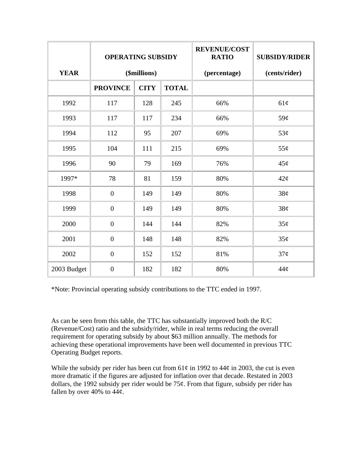|             | <b>OPERATING SUBSIDY</b> |             | <b>REVENUE/COST</b><br><b>RATIO</b> | <b>SUBSIDY/RIDER</b> |     |
|-------------|--------------------------|-------------|-------------------------------------|----------------------|-----|
| <b>YEAR</b> | (\$millions)             |             | (percentage)                        | (cents/rider)        |     |
|             | <b>PROVINCE</b>          | <b>CITY</b> | <b>TOTAL</b>                        |                      |     |
| 1992        | 117                      | 128         | 245                                 | 66%                  | 61¢ |
| 1993        | 117                      | 117         | 234                                 | 66%                  | 59¢ |
| 1994        | 112                      | 95          | 207                                 | 69%                  | 53¢ |
| 1995        | 104                      | 111         | 215                                 | 69%                  | 55¢ |
| 1996        | 90                       | 79          | 169                                 | 76%                  | 45¢ |
| 1997*       | 78                       | 81          | 159                                 | 80%                  | 42¢ |
| 1998        | $\boldsymbol{0}$         | 149         | 149                                 | 80%                  | 38¢ |
| 1999        | $\boldsymbol{0}$         | 149         | 149                                 | 80%                  | 38¢ |
| 2000        | $\boldsymbol{0}$         | 144         | 144                                 | 82%                  | 35¢ |
| 2001        | $\boldsymbol{0}$         | 148         | 148                                 | 82%                  | 35¢ |
| 2002        | $\boldsymbol{0}$         | 152         | 152                                 | 81%                  | 37¢ |
| 2003 Budget | $\overline{0}$           | 182         | 182                                 | 80%                  | 44¢ |

\*Note: Provincial operating subsidy contributions to the TTC ended in 1997.

As can be seen from this table, the TTC has substantially improved both the R/C (Revenue/Cost) ratio and the subsidy/rider, while in real terms reducing the overall requirement for operating subsidy by about \$63 million annually. The methods for achieving these operational improvements have been well documented in previous TTC Operating Budget reports.

While the subsidy per rider has been cut from  $61¢$  in 1992 to  $44¢$  in 2003, the cut is even more dramatic if the figures are adjusted for inflation over that decade. Restated in 2003 dollars, the 1992 subsidy per rider would be  $75¢$ . From that figure, subsidy per rider has fallen by over 40% to  $44¢$ .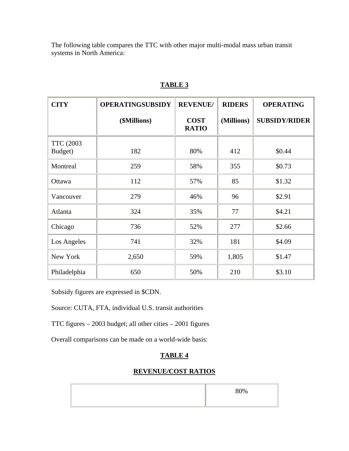The following table compares the TTC with other major multi-modal mass urban transit systems in North America:

| <b>CITY</b>                  | <b>OPERATINGSUBSIDY</b> | <b>REVENUE/</b>             | <b>RIDERS</b> | <b>OPERATING</b>     |
|------------------------------|-------------------------|-----------------------------|---------------|----------------------|
|                              | (\$Millions)            | <b>COST</b><br><b>RATIO</b> | (Millions)    | <b>SUBSIDY/RIDER</b> |
| <b>TTC (2003)</b><br>Budget) | 182                     | 80%                         | 412           | \$0.44               |
| Montreal                     | 259                     | 58%                         | 355           | \$0.73               |
| Ottawa                       | 112                     | 57%                         | 85            | \$1.32               |
| Vancouver                    | 279                     | 46%                         | 96            | \$2.91               |
| Atlanta                      | 324                     | 35%                         | 77            | \$4.21               |
| Chicago                      | 736                     | 52%                         | 277           | \$2.66               |
| Los Angeles                  | 741                     | 32%                         | 181           | \$4.09               |
| New York                     | 2,650                   | 59%                         | 1,805         | \$1.47               |
| Philadelphia                 | 650                     | 50%                         | 210           | \$3.10               |

## **TABLE 3**

Subsidy figures are expressed in \$CDN.

Source: CUTA, FTA, individual U.S. transit authorities

TTC figures – 2003 budget; all other cities – 2001 figures

Overall comparisons can be made on a world-wide basis:

## **TABLE 4**

### **REVENUE/COST RATIOS**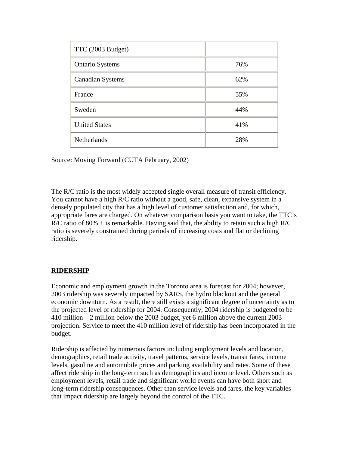| TTC (2003 Budget)       |     |
|-------------------------|-----|
| <b>Ontario Systems</b>  | 76% |
| <b>Canadian Systems</b> | 62% |
| France                  | 55% |
| Sweden                  | 44% |
| <b>United States</b>    | 41% |
| <b>Netherlands</b>      | 28% |

Source: Moving Forward (CUTA February, 2002)

The R/C ratio is the most widely accepted single overall measure of transit efficiency. You cannot have a high R/C ratio without a good, safe, clean, expansive system in a densely populated city that has a high level of customer satisfaction and, for which, appropriate fares are charged. On whatever comparison basis you want to take, the TTC's  $R/C$  ratio of 80% + is remarkable. Having said that, the ability to retain such a high  $R/C$ ratio is severely constrained during periods of increasing costs and flat or declining ridership.

### **RIDERSHIP**

Economic and employment growth in the Toronto area is forecast for 2004; however, 2003 ridership was severely impacted by SARS, the hydro blackout and the general economic downturn. As a result, there still exists a significant degree of uncertainty as to the projected level of ridership for 2004. Consequently, 2004 ridership is budgeted to be 410 million – 2 million below the 2003 budget, yet 6 million above the current 2003 projection. Service to meet the 410 million level of ridership has been incorporated in the budget.

Ridership is affected by numerous factors including employment levels and location, demographics, retail trade activity, travel patterns, service levels, transit fares, income levels, gasoline and automobile prices and parking availability and rates. Some of these affect ridership in the long-term such as demographics and income level. Others such as employment levels, retail trade and significant world events can have both short and long-term ridership consequences. Other than service levels and fares, the key variables that impact ridership are largely beyond the control of the TTC.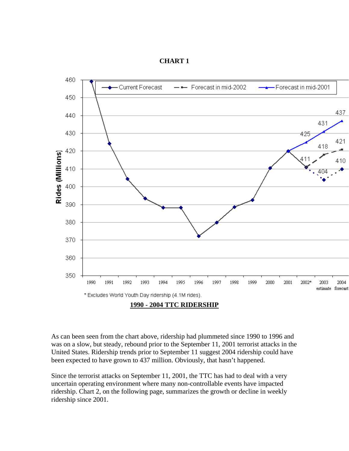



As can been seen from the chart above, ridership had plummeted since 1990 to 1996 and was on a slow, but steady, rebound prior to the September 11, 2001 terrorist attacks in the United States. Ridership trends prior to September 11 suggest 2004 ridership could have been expected to have grown to 437 million. Obviously, that hasn't happened.

Since the terrorist attacks on September 11, 2001, the TTC has had to deal with a very uncertain operating environment where many non-controllable events have impacted ridership. Chart 2, on the following page, summarizes the growth or decline in weekly ridership since 2001.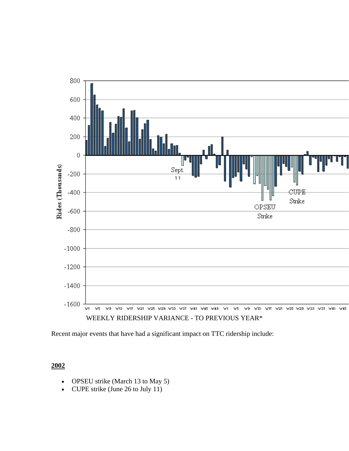

Recent major events that have had a significant impact on TTC ridership include:

**2002**

- OPSEU strike (March 13 to May 5)
- CUPE strike (June 26 to July 11)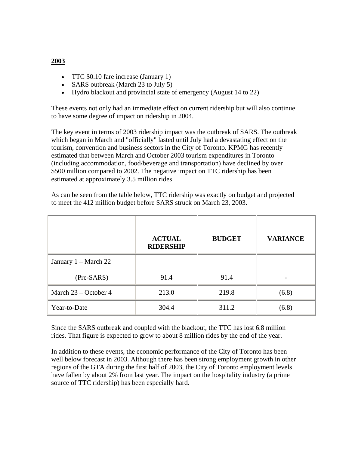# **2003**

- TTC \$0.10 fare increase (January 1)
- SARS outbreak (March 23 to July 5)
- Hydro blackout and provincial state of emergency (August 14 to 22)

These events not only had an immediate effect on current ridership but will also continue to have some degree of impact on ridership in 2004.

The key event in terms of 2003 ridership impact was the outbreak of SARS. The outbreak which began in March and "officially" lasted until July had a devastating effect on the tourism, convention and business sectors in the City of Toronto. KPMG has recently estimated that between March and October 2003 tourism expenditures in Toronto (including accommodation, food/beverage and transportation) have declined by over \$500 million compared to 2002. The negative impact on TTC ridership has been estimated at approximately 3.5 million rides.

As can be seen from the table below, TTC ridership was exactly on budget and projected to meet the 412 million budget before SARS struck on March 23, 2003.

|                      | <b>ACTUAL</b><br><b>RIDERSHIP</b> | <b>BUDGET</b> | <b>VARIANCE</b> |
|----------------------|-----------------------------------|---------------|-----------------|
| January 1 – March 22 |                                   |               |                 |
| (Pre-SARS)           | 91.4                              | 91.4          |                 |
| March 23 – October 4 | 213.0                             | 219.8         | (6.8)           |
| Year-to-Date         | 304.4                             | 311.2         | (6.8)           |

Since the SARS outbreak and coupled with the blackout, the TTC has lost 6.8 million rides. That figure is expected to grow to about 8 million rides by the end of the year.

In addition to these events, the economic performance of the City of Toronto has been well below forecast in 2003. Although there has been strong employment growth in other regions of the GTA during the first half of 2003, the City of Toronto employment levels have fallen by about 2% from last year. The impact on the hospitality industry (a prime source of TTC ridership) has been especially hard.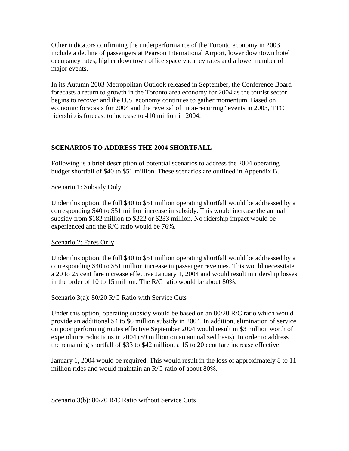Other indicators confirming the underperformance of the Toronto economy in 2003 include a decline of passengers at Pearson International Airport, lower downtown hotel occupancy rates, higher downtown office space vacancy rates and a lower number of major events.

In its Autumn 2003 Metropolitan Outlook released in September, the Conference Board forecasts a return to growth in the Toronto area economy for 2004 as the tourist sector begins to recover and the U.S. economy continues to gather momentum. Based on economic forecasts for 2004 and the reversal of "non-recurring" events in 2003, TTC ridership is forecast to increase to 410 million in 2004.

## **SCENARIOS TO ADDRESS THE 2004 SHORTFALL**

Following is a brief description of potential scenarios to address the 2004 operating budget shortfall of \$40 to \$51 million. These scenarios are outlined in Appendix B.

#### Scenario 1: Subsidy Only

Under this option, the full \$40 to \$51 million operating shortfall would be addressed by a corresponding \$40 to \$51 million increase in subsidy. This would increase the annual subsidy from \$182 million to \$222 or \$233 million. No ridership impact would be experienced and the R/C ratio would be 76%.

### Scenario 2: Fares Only

Under this option, the full \$40 to \$51 million operating shortfall would be addressed by a corresponding \$40 to \$51 million increase in passenger revenues. This would necessitate a 20 to 25 cent fare increase effective January 1, 2004 and would result in ridership losses in the order of 10 to 15 million. The R/C ratio would be about 80%.

#### Scenario 3(a): 80/20 R/C Ratio with Service Cuts

Under this option, operating subsidy would be based on an 80/20 R/C ratio which would provide an additional \$4 to \$6 million subsidy in 2004. In addition, elimination of service on poor performing routes effective September 2004 would result in \$3 million worth of expenditure reductions in 2004 (\$9 million on an annualized basis). In order to address the remaining shortfall of \$33 to \$42 million, a 15 to 20 cent fare increase effective

January 1, 2004 would be required. This would result in the loss of approximately 8 to 11 million rides and would maintain an R/C ratio of about 80%.

#### Scenario 3(b): 80/20 R/C Ratio without Service Cuts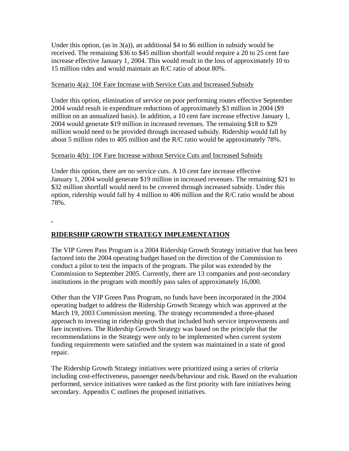Under this option, (as in  $3(a)$ ), an additional \$4 to \$6 million in subsidy would be received. The remaining \$36 to \$45 million shortfall would require a 20 to 25 cent fare increase effective January 1, 2004. This would result in the loss of approximately 10 to 15 million rides and would maintain an R/C ratio of about 80%.

#### Scenario 4(a): 10¢ Fare Increase with Service Cuts and Increased Subsidy

Under this option, elimination of service on poor performing routes effective September 2004 would result in expenditure reductions of approximately \$3 million in 2004 (\$9 million on an annualized basis). In addition, a 10 cent fare increase effective January 1, 2004 would generate \$19 million in increased revenues. The remaining \$18 to \$29 million would need to be provided through increased subsidy. Ridership would fall by about 5 million rides to 405 million and the R/C ratio would be approximately 78%.

#### Scenario 4(b): 10¢ Fare Increase without Service Cuts and Increased Subsidy

Under this option, there are no service cuts. A 10 cent fare increase effective January 1, 2004 would generate \$19 million in increased revenues. The remaining \$21 to \$32 million shortfall would need to be covered through increased subsidy. Under this option, ridership would fall by 4 million to 406 million and the R/C ratio would be about 78%.

## **RIDERSHIP GROWTH STRATEGY IMPLEMENTATION**

The VIP Green Pass Program is a 2004 Ridership Growth Strategy initiative that has been factored into the 2004 operating budget based on the direction of the Commission to conduct a pilot to test the impacts of the program. The pilot was extended by the Commission to September 2005. Currently, there are 13 companies and post-secondary institutions in the program with monthly pass sales of approximately 16,000.

Other than the VIP Green Pass Program, no funds have been incorporated in the 2004 operating budget to address the Ridership Growth Strategy which was approved at the March 19, 2003 Commission meeting. The strategy recommended a three-phased approach to investing in ridership growth that included both service improvements and fare incentives. The Ridership Growth Strategy was based on the principle that the recommendations in the Strategy were only to be implemented when current system funding requirements were satisfied and the system was maintained in a state of good repair.

The Ridership Growth Strategy initiatives were prioritized using a series of criteria including cost-effectiveness, passenger needs/behaviour and risk. Based on the evaluation performed, service initiatives were ranked as the first priority with fare initiatives being secondary. Appendix C outlines the proposed initiatives.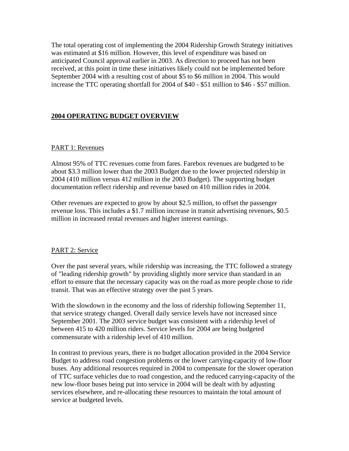The total operating cost of implementing the 2004 Ridership Growth Strategy initiatives was estimated at \$16 million. However, this level of expenditure was based on anticipated Council approval earlier in 2003. As direction to proceed has not been received, at this point in time these initiatives likely could not be implemented before September 2004 with a resulting cost of about \$5 to \$6 million in 2004. This would increase the TTC operating shortfall for 2004 of \$40 - \$51 million to \$46 - \$57 million.

## **2004 OPERATING BUDGET OVERVIEW**

#### PART 1: Revenues

Almost 95% of TTC revenues come from fares. Farebox revenues are budgeted to be about \$3.3 million lower than the 2003 Budget due to the lower projected ridership in 2004 (410 million versus 412 million in the 2003 Budget). The supporting budget documentation reflect ridership and revenue based on 410 million rides in 2004.

Other revenues are expected to grow by about \$2.5 million, to offset the passenger revenue loss. This includes a \$1.7 million increase in transit advertising revenues, \$0.5 million in increased rental revenues and higher interest earnings.

#### PART 2: Service

Over the past several years, while ridership was increasing, the TTC followed a strategy of "leading ridership growth" by providing slightly more service than standard in an effort to ensure that the necessary capacity was on the road as more people chose to ride transit. That was an effective strategy over the past 5 years.

With the slowdown in the economy and the loss of ridership following September 11, that service strategy changed. Overall daily service levels have not increased since September 2001. The 2003 service budget was consistent with a ridership level of between 415 to 420 million riders. Service levels for 2004 are being budgeted commensurate with a ridership level of 410 million.

In contrast to previous years, there is no budget allocation provided in the 2004 Service Budget to address road congestion problems or the lower carrying-capacity of low-floor buses. Any additional resources required in 2004 to compensate for the slower operation of TTC surface vehicles due to road congestion, and the reduced carrying-capacity of the new low-floor buses being put into service in 2004 will be dealt with by adjusting services elsewhere, and re-allocating these resources to maintain the total amount of service at budgeted levels.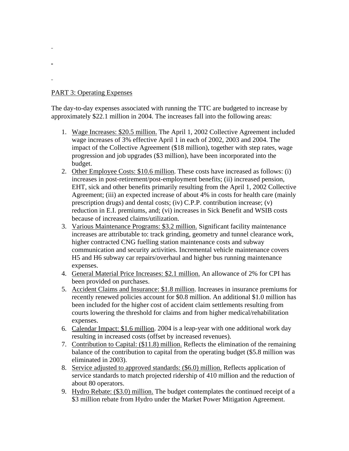### PART 3: Operating Expenses

The day-to-day expenses associated with running the TTC are budgeted to increase by approximately \$22.1 million in 2004. The increases fall into the following areas:

- 1. Wage Increases: \$20.5 million. The April 1, 2002 Collective Agreement included wage increases of 3% effective April 1 in each of 2002, 2003 and 2004. The impact of the Collective Agreement (\$18 million), together with step rates, wage progression and job upgrades (\$3 million), have been incorporated into the budget.
- 2. Other Employee Costs: \$10.6 million. These costs have increased as follows: (i) increases in post-retirement/post-employment benefits; (ii) increased pension, EHT, sick and other benefits primarily resulting from the April 1, 2002 Collective Agreement; (iii) an expected increase of about 4% in costs for health care (mainly prescription drugs) and dental costs; (iv) C.P.P. contribution increase; (v) reduction in E.I. premiums, and; (vi) increases in Sick Benefit and WSIB costs because of increased claims/utilization.
- 3. Various Maintenance Programs: \$3.2 million. Significant facility maintenance increases are attributable to: track grinding, geometry and tunnel clearance work, higher contracted CNG fuelling station maintenance costs and subway communication and security activities. Incremental vehicle maintenance covers H5 and H6 subway car repairs/overhaul and higher bus running maintenance expenses.
- 4. General Material Price Increases: \$2.1 million. An allowance of 2% for CPI has been provided on purchases.
- 5. Accident Claims and Insurance: \$1.8 million. Increases in insurance premiums for recently renewed policies account for \$0.8 million. An additional \$1.0 million has been included for the higher cost of accident claim settlements resulting from courts lowering the threshold for claims and from higher medical/rehabilitation expenses.
- 6. Calendar Impact: \$1.6 million. 2004 is a leap-year with one additional work day resulting in increased costs (offset by increased revenues).
- 7. Contribution to Capital: (\$11.8) million. Reflects the elimination of the remaining balance of the contribution to capital from the operating budget (\$5.8 million was eliminated in 2003).
- 8. Service adjusted to approved standards: (\$6.0) million. Reflects application of service standards to match projected ridership of 410 million and the reduction of about 80 operators.
- 9. Hydro Rebate: (\$3.0) million. The budget contemplates the continued receipt of a \$3 million rebate from Hydro under the Market Power Mitigation Agreement.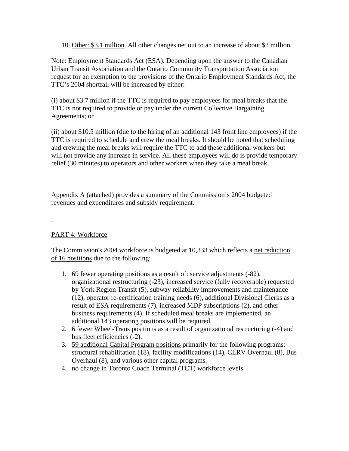10. Other: \$3.1 million. All other changes net out to an increase of about \$3 million.

Note: Employment Standards Act (ESA). Depending upon the answer to the Canadian Urban Transit Association and the Ontario Community Transportation Association request for an exemption to the provisions of the Ontario Employment Standards Act, the TTC's 2004 shortfall will be increased by either:

(i) about \$3.7 million if the TTC is required to pay employees for meal breaks that the TTC is not required to provide or pay under the current Collective Bargaining Agreements; or

(ii) about \$10.5 million (due to the hiring of an additional 143 front line employees) if the TTC is required to schedule and crew the meal breaks. It should be noted that scheduling and crewing the meal breaks will require the TTC to add these additional workers but will not provide any increase in service. All these employees will do is provide temporary relief (30 minutes) to operators and other workers when they take a meal break.

Appendix A (attached) provides a summary of the Commission's 2004 budgeted revenues and expenditures and subsidy requirement.

### PART 4: Workforce

The Commission's 2004 workforce is budgeted at 10,333 which reflects a net reduction of 16 positions due to the following:

- 1. 69 fewer operating positions as a result of: service adjustments (-82), organizational restructuring (-23), increased service (fully recoverable) requested by York Region Transit (5), subway reliability improvements and maintenance (12), operator re-certification training needs (6), additional Divisional Clerks as a result of ESA requirements (7), increased MDP subscriptions (2), and other business requirements (4). If scheduled meal breaks are implemented, an additional 143 operating positions will be required.
- 2. 6 fewer Wheel-Trans positions as a result of organizational restructuring (-4) and bus fleet efficiencies (-2).
- 3. 59 additional Capital Program positions primarily for the following programs: structural rehabilitation (18), facility modifications (14), CLRV Overhaul (8), Bus Overhaul (8), and various other capital programs.
- 4. no change in Toronto Coach Terminal (TCT) workforce levels.